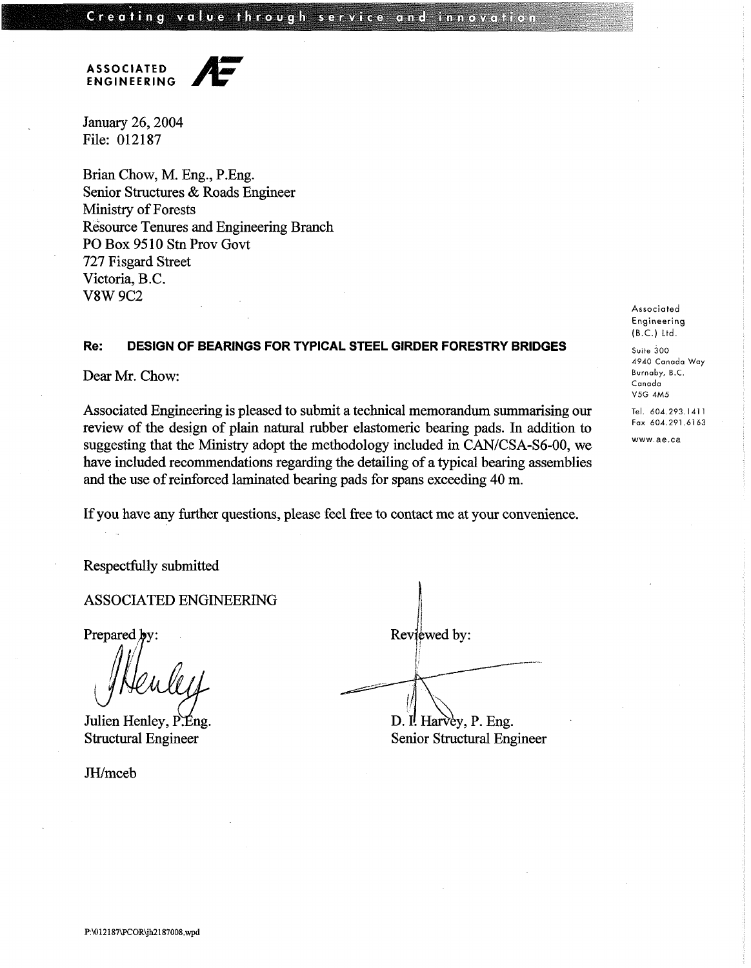**ASSOCIATED ENGINEERING** 

January 26,2004 File: 012187

Brian Chow, M. Eng., P.Eng. Senior Structures & Roads Engineer Ministry of Forests Resource Tenures and Engineering Branch PO Box 95 10 **Stn** Prov Govt 727 Fisgard Street Victoria, B.C. V8W 9C2

## **Re: DESIGN OF BEARINGS FOR TYPICAL STEEL GIRDER FORESTRY BRIDGES**

Dear Mr. Chow:

Associated Engineering **is** pleased to submit **a** technical memorandum summarising our review of the design **of plain** natural rubber elastomeric bearing pads. In addition to suggesting that the Ministry adopt the methodology included in CAN/CSA-S6-00, we have included recommendations regarding the detailing of a typical bearing assemblies and the use of reinforced laminated bearing pads for spans exceeding 40 m.

If you have any further questions, please feel free to contact me at your convenience.

Respectfully submitted

1 ASSOCIATED ENGINEERING

Prepared **b** 

Julien Henley, P.Eng. Structural Engineer

JH/mceb

| Reviewed by:          |
|-----------------------|
|                       |
|                       |
| D. I. Harvey, P. Eng. |

 $\mathbf{I}$ 

Senior Structural Engineer

**Associated Engineering**  (B.C.) **Ltd.** 

**Suite** 300 4940 Canada Way Burnaby, B.C. Canada V5G 4M5

**Tel.** 604.293.141 **<sup>1</sup> Fax** 604.291.6163

www.ae.ca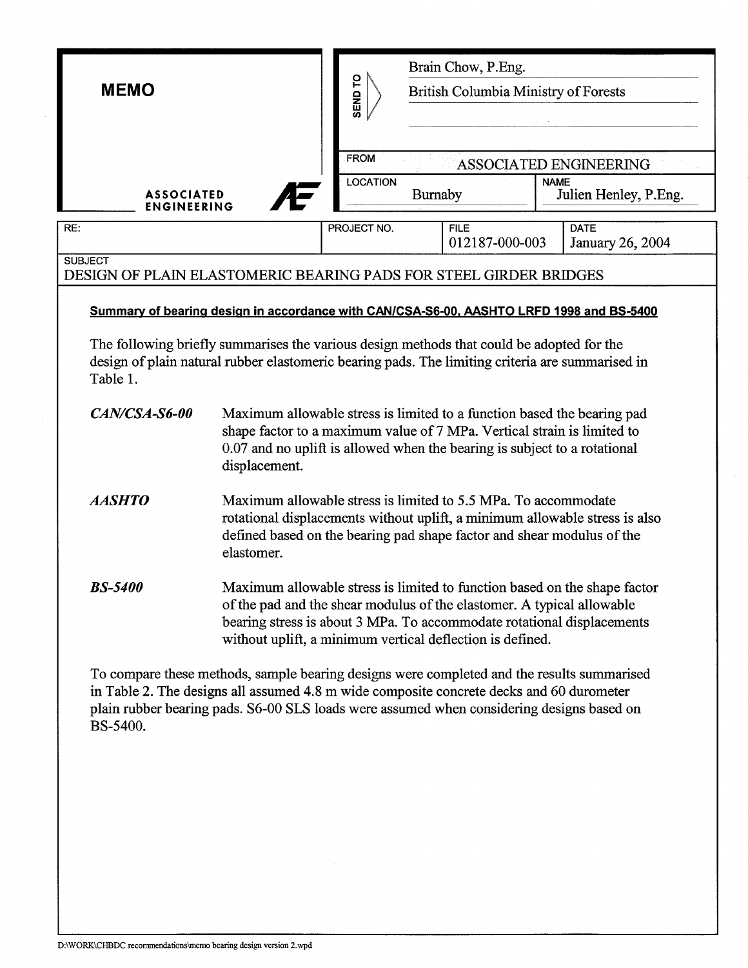| <b>MEMO</b>                                                                                                                                                                                                                                                                                     |                                                                                                                                                                                                                                                                                            | SEND TO         | Brain Chow, P.Eng.<br><b>British Columbia Ministry of Forests</b> |                               |                                      |                                 |  |
|-------------------------------------------------------------------------------------------------------------------------------------------------------------------------------------------------------------------------------------------------------------------------------------------------|--------------------------------------------------------------------------------------------------------------------------------------------------------------------------------------------------------------------------------------------------------------------------------------------|-----------------|-------------------------------------------------------------------|-------------------------------|--------------------------------------|---------------------------------|--|
|                                                                                                                                                                                                                                                                                                 |                                                                                                                                                                                                                                                                                            | FROM            |                                                                   |                               |                                      | ASSOCIATED ENGINEERING          |  |
| <b>ASSOCIATED</b><br><b>ENGINEERING</b>                                                                                                                                                                                                                                                         |                                                                                                                                                                                                                                                                                            | <b>LOCATION</b> | Burnaby                                                           |                               | <b>NAME</b><br>Julien Henley, P.Eng. |                                 |  |
| RE:                                                                                                                                                                                                                                                                                             |                                                                                                                                                                                                                                                                                            | PROJECT NO.     |                                                                   | <b>FILE</b><br>012187-000-003 |                                      | <b>DATE</b><br>January 26, 2004 |  |
| <b>SUBJECT</b><br>DESIGN OF PLAIN ELASTOMERIC BEARING PADS FOR STEEL GIRDER BRIDGES                                                                                                                                                                                                             |                                                                                                                                                                                                                                                                                            |                 |                                                                   |                               |                                      |                                 |  |
| Summary of bearing design in accordance with CAN/CSA-S6-00, AASHTO LRFD 1998 and BS-5400                                                                                                                                                                                                        |                                                                                                                                                                                                                                                                                            |                 |                                                                   |                               |                                      |                                 |  |
| The following briefly summarises the various design methods that could be adopted for the<br>design of plain natural rubber elastomeric bearing pads. The limiting criteria are summarised in<br>Table 1.                                                                                       |                                                                                                                                                                                                                                                                                            |                 |                                                                   |                               |                                      |                                 |  |
| CAN/CSA-S6-00                                                                                                                                                                                                                                                                                   | Maximum allowable stress is limited to a function based the bearing pad<br>shape factor to a maximum value of 7 MPa. Vertical strain is limited to<br>0.07 and no uplift is allowed when the bearing is subject to a rotational<br>displacement.                                           |                 |                                                                   |                               |                                      |                                 |  |
| <b>AASHTO</b>                                                                                                                                                                                                                                                                                   | Maximum allowable stress is limited to 5.5 MPa. To accommodate<br>rotational displacements without uplift, a minimum allowable stress is also<br>defined based on the bearing pad shape factor and shear modulus of the<br>elastomer.                                                      |                 |                                                                   |                               |                                      |                                 |  |
| <b>BS-5400</b>                                                                                                                                                                                                                                                                                  | Maximum allowable stress is limited to function based on the shape factor<br>of the pad and the shear modulus of the elastomer. A typical allowable<br>bearing stress is about 3 MPa. To accommodate rotational displacements<br>without uplift, a minimum vertical deflection is defined. |                 |                                                                   |                               |                                      |                                 |  |
| To compare these methods, sample bearing designs were completed and the results summarised<br>in Table 2. The designs all assumed 4.8 m wide composite concrete decks and 60 durometer<br>plain rubber bearing pads. S6-00 SLS loads were assumed when considering designs based on<br>BS-5400. |                                                                                                                                                                                                                                                                                            |                 |                                                                   |                               |                                      |                                 |  |

 $\sim$ 

 $\overline{\phantom{a}}$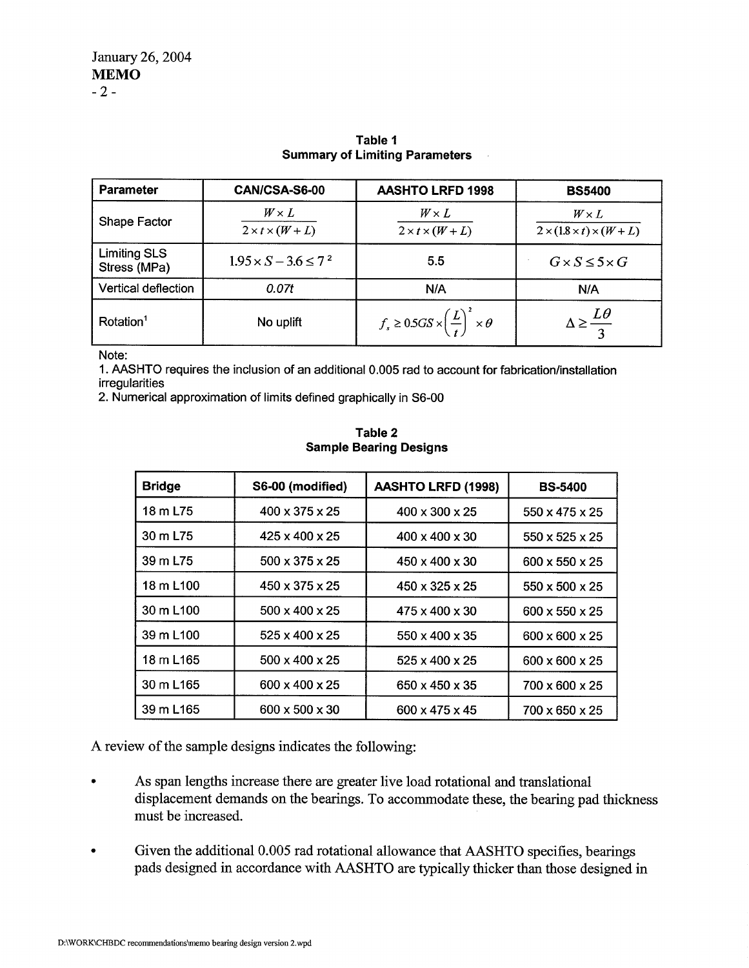| <b>Parameter</b>                    | CAN/CSA-S6-00                               | <b>AASHTO LRFD 1998</b>                                          | <b>BS5400</b>                                            |  |
|-------------------------------------|---------------------------------------------|------------------------------------------------------------------|----------------------------------------------------------|--|
| Shape Factor                        | $W \times L$<br>$2 \times t \times (W + L)$ | $W \times L$<br>$2 \times t \times (W + L)$                      | $W \times L$<br>$2 \times (1.8 \times t) \times (W + L)$ |  |
| <b>Limiting SLS</b><br>Stress (MPa) | $1.95 \times S - 3.6 \leq 7^2$              | 5.5                                                              | $G \times S \leq 5 \times G$                             |  |
| Vertical deflection                 | 0.07t                                       | N/A                                                              | N/A                                                      |  |
| Rotation <sup>1</sup>               | No uplift                                   | $f_s \geq 0.5GS \times \left(\frac{L}{t}\right)^2 \times \theta$ |                                                          |  |

## **Table 1 Summary of Limiting Parameters**

Note:

1. **AASHTO** requires the inclusion of an additional 0.005 rad to account for fabrication/installation irregularities

2. Numerical approximation of limits defined graphically in S6-00

| <b>Bridge</b>         | S6-00 (modified)           | <b>AASHTO LRFD (1998)</b>  | <b>BS-5400</b>             |
|-----------------------|----------------------------|----------------------------|----------------------------|
| 18 m L75              | $400 \times 375 \times 25$ | $400 \times 300 \times 25$ | $550 \times 475 \times 25$ |
| 30 m L75              | $425 \times 400 \times 25$ | $400 \times 400 \times 30$ | 550 x 525 x 25             |
| 39 m L75              | $500 \times 375 \times 25$ | $450 \times 400 \times 30$ | $600 \times 550 \times 25$ |
| 18 m L100             | $450 \times 375 \times 25$ | $450 \times 325 \times 25$ | $550 \times 500 \times 25$ |
| 30 m L <sub>100</sub> | $500 \times 400 \times 25$ | $475 \times 400 \times 30$ | $600 \times 550 \times 25$ |
| 39 m L <sub>100</sub> | $525 \times 400 \times 25$ | $550 \times 400 \times 35$ | $600 \times 600 \times 25$ |
| 18 m L165             | $500 \times 400 \times 25$ | $525 \times 400 \times 25$ | $600 \times 600 \times 25$ |
| 30 m L165             | 600 x 400 x 25             | 650 x 450 x 35             | $700 \times 600 \times 25$ |
| 39 m L <sub>165</sub> | 600 x 500 x 30             | $600 \times 475 \times 45$ | 700 x 650 x 25             |

**Table 2 Sample Bearing Designs** 

**A** review of the sample designs indicates the following:

- As span lengths increase there are greater live load rotational and translational displacement demands on the bearings. To accommodate these, the bearing pad thickness must be increased.
- Given the additional 0.005 rad rotational allowance that AASHTO specifies, bearings pads designed in accordance with AASHTO are typically thicker than those designed in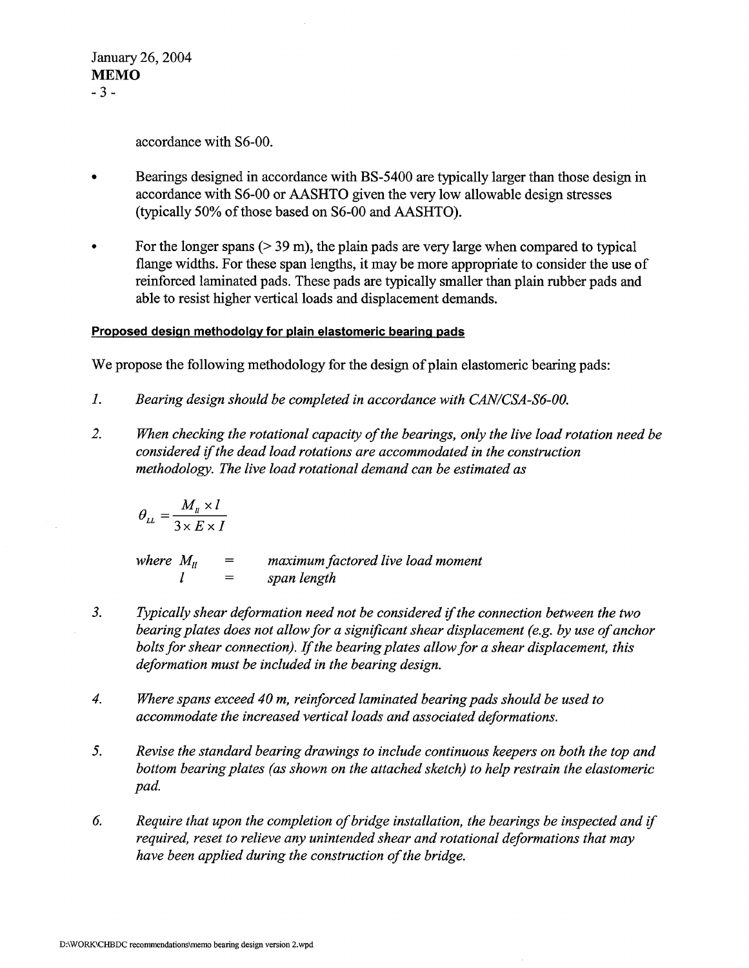January 26,2004 **MEMO**  *-3-* 

accordance with S6-00.

- Bearings designed in accordance with BS-5400 are typically larger than those design in  $\bullet$ accordance with S6-00 or AASHTO given the very low allowable design stresses (typically 50% of those based on S6-00 and AASHTO).
- For the longer spans  $(> 39 \text{ m})$ , the plain pads are very large when compared to typical flange widths. For these span lengths, it may be more appropriate to consider the use of reinforced laminated pads. These pads are typically smaller than plain rubber pads and able to resist higher vertical loads and displacement demands.

## **Proposed design methodolav for plain elastomeric bearing pads**

We propose the following methodology for the design of plain elastomeric bearing pads:

- *1. Bearing design should be completed in accordance with CAN/CSA-S6-00.*
- 2. *When checking the rotational capacity of the bearings, only the live load rotation need be considered if the dead load rotations are accommodated in the construction methodology. The live load rotational demand can be estimated as*

$$
\theta_{LL} = \frac{M_u \times l}{3 \times E \times I}
$$

*where*  $M_{ll}$  = *maximum factored live load moment*  $l$  = *span length 1* = *span length* 

- *3. Typically shear deformation need not be considered ifthe connection between the two bearing plates does not allow for a significant shear displacement (e.g. by use of anchor bolts for shear connection). If the bearing plates allow for a shear displacement, this deformation must be included in the bearing design.*
- *4. Where spans exceed 40 m, reinforced laminated bearing pads should be used to accommodate the increased vertical loads and associated deformations.*
- *5. Revise the standard bearing drawings to include continuous keepers on both the top and bottom bearing plates (as shown on the attached sketch) to help restrain the elastomeric pad.*
- *6. Require that upon the completion of bridge installation, the bearings be inspected and if required, reset to relieve any unintended shear and rotational deformations that may have been applied during the construction of the bridge.*